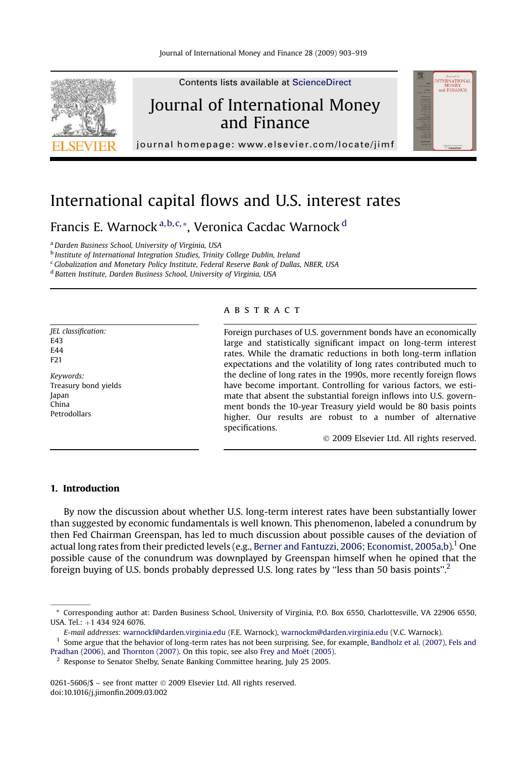

# International capital flows and U.S. interest rates

Francis E. Warnock<sup>a, b, c, \*</sup>, Veronica Cacdac Warnock<sup>d</sup>

<sup>a</sup> Darden Business School, University of Virginia, USA

**b** Institute of International Integration Studies, Trinity College Dublin, Ireland

<sup>c</sup> Globalization and Monetary Policy Institute, Federal Reserve Bank of Dallas, NBER, USA

<sup>d</sup> Batten Institute, Darden Business School, University of Virginia, USA

JEL classification: E43 E44 F21 Keywords:

Treasury bond yields Japan China Petrodollars

#### **ABSTRACT**

Foreign purchases of U.S. government bonds have an economically large and statistically significant impact on long-term interest rates. While the dramatic reductions in both long-term inflation expectations and the volatility of long rates contributed much to the decline of long rates in the 1990s, more recently foreign flows have become important. Controlling for various factors, we estimate that absent the substantial foreign inflows into U.S. government bonds the 10-year Treasury yield would be 80 basis points higher. Our results are robust to a number of alternative specifications.

- 2009 Elsevier Ltd. All rights reserved.

# 1. Introduction

By now the discussion about whether U.S. long-term interest rates have been substantially lower than suggested by economic fundamentals is well known. This phenomenon, labeled a conundrum by then Fed Chairman Greenspan, has led to much discussion about possible causes of the deviation of actual long rates from their predicted levels (e.g., [Berner and Fantuzzi, 2006; Economist, 2005a,b\)](#page-16-0).<sup>1</sup> One possible cause of the conundrum was downplayed by Greenspan himself when he opined that the foreign buying of U.S. bonds probably depressed U.S. long rates by ''less than 50 basis points''.<sup>2</sup>

0261-5606/\$ – see front matter © 2009 Elsevier Ltd. All rights reserved. doi:10.1016/j.jimonfin.2009.03.002

<sup>\*</sup> Corresponding author at: Darden Business School, University of Virginia, P.O. Box 6550, Charlottesville, VA 22906 6550, USA. Tel.:  $+1$  434 924 6076.

E-mail addresses: [warnockf@darden.virginia.edu](mailto:warnockf@darden.virginia.edu) (F.E. Warnock), [warnockm@darden.virginia.edu](mailto:warnockm@darden.virginia.edu) (V.C. Warnock).

<sup>&</sup>lt;sup>1</sup> Some argue that the behavior of long-term rates has not been surprising. See, for example, [Bandholz et al. \(2007\), Fels and](#page-16-0) [Pradhan \(2006\),](#page-16-0) and [Thornton \(2007\).](#page-16-0) On this topic, see also Frey and Moët (2005).

 $2^2$  Response to Senator Shelby, Senate Banking Committee hearing, July 25 2005.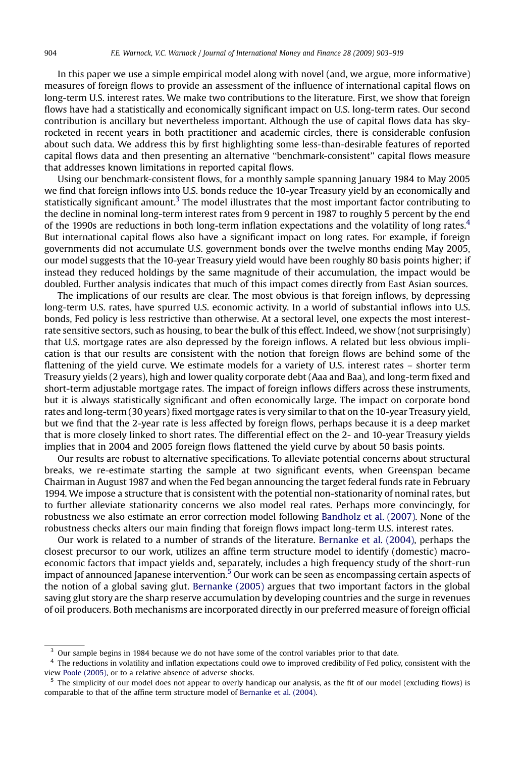In this paper we use a simple empirical model along with novel (and, we argue, more informative) measures of foreign flows to provide an assessment of the influence of international capital flows on long-term U.S. interest rates. We make two contributions to the literature. First, we show that foreign flows have had a statistically and economically significant impact on U.S. long-term rates. Our second contribution is ancillary but nevertheless important. Although the use of capital flows data has skyrocketed in recent years in both practitioner and academic circles, there is considerable confusion about such data. We address this by first highlighting some less-than-desirable features of reported capital flows data and then presenting an alternative ''benchmark-consistent'' capital flows measure that addresses known limitations in reported capital flows.

Using our benchmark-consistent flows, for a monthly sample spanning January 1984 to May 2005 we find that foreign inflows into U.S. bonds reduce the 10-year Treasury yield by an economically and statistically significant amount.<sup>3</sup> The model illustrates that the most important factor contributing to the decline in nominal long-term interest rates from 9 percent in 1987 to roughly 5 percent by the end of the 1990s are reductions in both long-term inflation expectations and the volatility of long rates.<sup>4</sup> But international capital flows also have a significant impact on long rates. For example, if foreign governments did not accumulate U.S. government bonds over the twelve months ending May 2005, our model suggests that the 10-year Treasury yield would have been roughly 80 basis points higher; if instead they reduced holdings by the same magnitude of their accumulation, the impact would be doubled. Further analysis indicates that much of this impact comes directly from East Asian sources.

The implications of our results are clear. The most obvious is that foreign inflows, by depressing long-term U.S. rates, have spurred U.S. economic activity. In a world of substantial inflows into U.S. bonds, Fed policy is less restrictive than otherwise. At a sectoral level, one expects the most interestrate sensitive sectors, such as housing, to bear the bulk of this effect. Indeed, we show (not surprisingly) that U.S. mortgage rates are also depressed by the foreign inflows. A related but less obvious implication is that our results are consistent with the notion that foreign flows are behind some of the flattening of the yield curve. We estimate models for a variety of U.S. interest rates – shorter term Treasury yields (2 years), high and lower quality corporate debt (Aaa and Baa), and long-term fixed and short-term adjustable mortgage rates. The impact of foreign inflows differs across these instruments, but it is always statistically significant and often economically large. The impact on corporate bond rates and long-term (30 years) fixed mortgage rates is very similar to that on the 10-year Treasury yield, but we find that the 2-year rate is less affected by foreign flows, perhaps because it is a deep market that is more closely linked to short rates. The differential effect on the 2- and 10-year Treasury yields implies that in 2004 and 2005 foreign flows flattened the yield curve by about 50 basis points.

Our results are robust to alternative specifications. To alleviate potential concerns about structural breaks, we re-estimate starting the sample at two significant events, when Greenspan became Chairman in August 1987 and when the Fed began announcing the target federal funds rate in February 1994. We impose a structure that is consistent with the potential non-stationarity of nominal rates, but to further alleviate stationarity concerns we also model real rates. Perhaps more convincingly, for robustness we also estimate an error correction model following [Bandholz et al. \(2007\).](#page-16-0) None of the robustness checks alters our main finding that foreign flows impact long-term U.S. interest rates.

Our work is related to a number of strands of the literature. [Bernanke et al. \(2004\)](#page-16-0), perhaps the closest precursor to our work, utilizes an affine term structure model to identify (domestic) macroeconomic factors that impact yields and, separately, includes a high frequency study of the short-run impact of announced Japanese intervention. $5$  Our work can be seen as encompassing certain aspects of the notion of a global saving glut. [Bernanke \(2005\)](#page-16-0) argues that two important factors in the global saving glut story are the sharp reserve accumulation by developing countries and the surge in revenues of oil producers. Both mechanisms are incorporated directly in our preferred measure of foreign official

<sup>&</sup>lt;sup>3</sup> Our sample begins in 1984 because we do not have some of the control variables prior to that date.

<sup>4</sup> The reductions in volatility and inflation expectations could owe to improved credibility of Fed policy, consistent with the view [Poole \(2005\),](#page-16-0) or to a relative absence of adverse shocks.

 $5$  The simplicity of our model does not appear to overly handicap our analysis, as the fit of our model (excluding flows) is comparable to that of the affine term structure model of [Bernanke et al. \(2004\).](#page-16-0)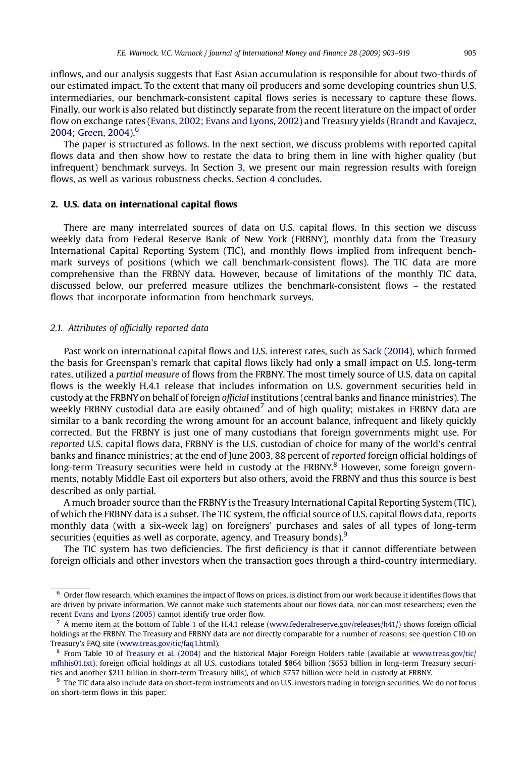inflows, and our analysis suggests that East Asian accumulation is responsible for about two-thirds of our estimated impact. To the extent that many oil producers and some developing countries shun U.S. intermediaries, our benchmark-consistent capital flows series is necessary to capture these flows. Finally, our work is also related but distinctly separate from the recent literature on the impact of order flow on exchange rates [\(Evans, 2002; Evans and Lyons, 2002\)](#page-16-0) and Treasury yields ([Brandt and Kavajecz,](#page-16-0) [2004; Green, 2004](#page-16-0)).<sup>6</sup>

The paper is structured as follows. In the next section, we discuss problems with reported capital flows data and then show how to restate the data to bring them in line with higher quality (but infrequent) benchmark surveys. In Section [3](#page-7-0), we present our main regression results with foreign flows, as well as various robustness checks. Section [4](#page-13-0) concludes.

#### 2. U.S. data on international capital flows

There are many interrelated sources of data on U.S. capital flows. In this section we discuss weekly data from Federal Reserve Bank of New York (FRBNY), monthly data from the Treasury International Capital Reporting System (TIC), and monthly flows implied from infrequent benchmark surveys of positions (which we call benchmark-consistent flows). The TIC data are more comprehensive than the FRBNY data. However, because of limitations of the monthly TIC data, discussed below, our preferred measure utilizes the benchmark-consistent flows – the restated flows that incorporate information from benchmark surveys.

## 2.1. Attributes of officially reported data

Past work on international capital flows and U.S. interest rates, such as [Sack \(2004\),](#page-16-0) which formed the basis for Greenspan's remark that capital flows likely had only a small impact on U.S. long-term rates, utilized a partial measure of flows from the FRBNY. The most timely source of U.S. data on capital flows is the weekly H.4.1 release that includes information on U.S. government securities held in custody at the FRBNY on behalf of foreign official institutions (central banks and finance ministries). The weekly FRBNY custodial data are easily obtained<sup>7</sup> and of high quality; mistakes in FRBNY data are similar to a bank recording the wrong amount for an account balance, infrequent and likely quickly corrected. But the FRBNY is just one of many custodians that foreign governments might use. For reported U.S. capital flows data, FRBNY is the U.S. custodian of choice for many of the world's central banks and finance ministries; at the end of June 2003, 88 percent of reported foreign official holdings of long-term Treasury securities were held in custody at the FRBNY.<sup>8</sup> However, some foreign governments, notably Middle East oil exporters but also others, avoid the FRBNY and thus this source is best described as only partial.

A much broader source than the FRBNY is the Treasury International Capital Reporting System (TIC), of which the FRBNY data is a subset. The TIC system, the official source of U.S. capital flows data, reports monthly data (with a six-week lag) on foreigners' purchases and sales of all types of long-term securities (equities as well as corporate, agency, and Treasury bonds).<sup>9</sup>

The TIC system has two deficiencies. The first deficiency is that it cannot differentiate between foreign officials and other investors when the transaction goes through a third-country intermediary.

 $6$  Order flow research, which examines the impact of flows on prices, is distinct from our work because it identifies flows that are driven by private information. We cannot make such statements about our flows data, nor can most researchers; even the recent [Evans and Lyons \(2005\)](#page-16-0) cannot identify true order flow.

 $^7$  A memo item at the bottom of [Table 1](#page-11-0) of the H.4.1 release [\(www.federalreserve.gov/releases/h41/\)](http://www.federalreserve.gov/releases/h41) shows foreign official holdings at the FRBNY. The Treasury and FRBNY data are not directly comparable for a number of reasons; see question C10 on Treasury's FAQ site [\(www.treas.gov/tic/faq1.html](http://www.treas.gov/tic/faq1.html)).

 $8$  From Table 10 of [Treasury et al. \(2004\)](#page-16-0) and the historical Major Foreign Holders table (available at [www.treas.gov/tic/](http://www.treas.gov/tic/mfhhis01.txt) [mfhhis01.txt](http://www.treas.gov/tic/mfhhis01.txt)), foreign official holdings at all U.S. custodians totaled \$864 billion (\$653 billion in long-term Treasury securities and another \$211 billion in short-term Treasury bills), of which \$757 billion were held in custody at FRBNY.

 $^9\,$  The TIC data also include data on short-term instruments and on U.S. investors trading in foreign securities. We do not focus on short-term flows in this paper.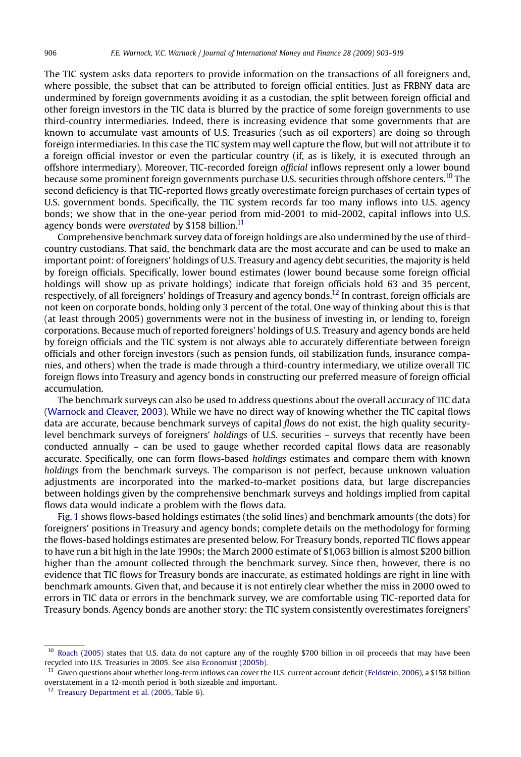The TIC system asks data reporters to provide information on the transactions of all foreigners and, where possible, the subset that can be attributed to foreign official entities. Just as FRBNY data are undermined by foreign governments avoiding it as a custodian, the split between foreign official and other foreign investors in the TIC data is blurred by the practice of some foreign governments to use third-country intermediaries. Indeed, there is increasing evidence that some governments that are known to accumulate vast amounts of U.S. Treasuries (such as oil exporters) are doing so through foreign intermediaries. In this case the TIC system may well capture the flow, but will not attribute it to a foreign official investor or even the particular country (if, as is likely, it is executed through an offshore intermediary). Moreover, TIC-recorded foreign official inflows represent only a lower bound because some prominent foreign governments purchase U.S. securities through offshore centers.10 The second deficiency is that TIC-reported flows greatly overestimate foreign purchases of certain types of U.S. government bonds. Specifically, the TIC system records far too many inflows into U.S. agency bonds; we show that in the one-year period from mid-2001 to mid-2002, capital inflows into U.S. agency bonds were overstated by \$158 billion.<sup>11</sup>

Comprehensive benchmark survey data of foreign holdings are also undermined by the use of thirdcountry custodians. That said, the benchmark data are the most accurate and can be used to make an important point: of foreigners' holdings of U.S. Treasury and agency debt securities, the majority is held by foreign officials. Specifically, lower bound estimates (lower bound because some foreign official holdings will show up as private holdings) indicate that foreign officials hold 63 and 35 percent, respectively, of all foreigners' holdings of Treasury and agency bonds.12 In contrast, foreign officials are not keen on corporate bonds, holding only 3 percent of the total. One way of thinking about this is that (at least through 2005) governments were not in the business of investing in, or lending to, foreign corporations. Because much of reported foreigners' holdings of U.S. Treasury and agency bonds are held by foreign officials and the TIC system is not always able to accurately differentiate between foreign officials and other foreign investors (such as pension funds, oil stabilization funds, insurance companies, and others) when the trade is made through a third-country intermediary, we utilize overall TIC foreign flows into Treasury and agency bonds in constructing our preferred measure of foreign official accumulation.

The benchmark surveys can also be used to address questions about the overall accuracy of TIC data ([Warnock and Cleaver, 2003](#page-16-0)). While we have no direct way of knowing whether the TIC capital flows data are accurate, because benchmark surveys of capital flows do not exist, the high quality securitylevel benchmark surveys of foreigners' holdings of U.S. securities – surveys that recently have been conducted annually – can be used to gauge whether recorded capital flows data are reasonably accurate. Specifically, one can form flows-based holdings estimates and compare them with known holdings from the benchmark surveys. The comparison is not perfect, because unknown valuation adjustments are incorporated into the marked-to-market positions data, but large discrepancies between holdings given by the comprehensive benchmark surveys and holdings implied from capital flows data would indicate a problem with the flows data.

[Fig. 1](#page-4-0) shows flows-based holdings estimates (the solid lines) and benchmark amounts (the dots) for foreigners' positions in Treasury and agency bonds; complete details on the methodology for forming the flows-based holdings estimates are presented below. For Treasury bonds, reported TIC flows appear to have run a bit high in the late 1990s; the March 2000 estimate of \$1,063 billion is almost \$200 billion higher than the amount collected through the benchmark survey. Since then, however, there is no evidence that TIC flows for Treasury bonds are inaccurate, as estimated holdings are right in line with benchmark amounts. Given that, and because it is not entirely clear whether the miss in 2000 owed to errors in TIC data or errors in the benchmark survey, we are comfortable using TIC-reported data for Treasury bonds. Agency bonds are another story: the TIC system consistently overestimates foreigners'

 $10$  [Roach \(2005\)](#page-16-0) states that U.S. data do not capture any of the roughly \$700 billion in oil proceeds that may have been recycled into U.S. Treasuries in 2005. See also [Economist \(2005b\)](#page-16-0).

 $11$  Given questions about whether long-term inflows can cover the U.S. current account deficit ([Feldstein, 2006](#page-16-0)), a \$158 billion overstatement in a 12-month period is both sizeable and important.

<sup>&</sup>lt;sup>12</sup> [Treasury Department et al. \(2005,](#page-16-0) Table 6).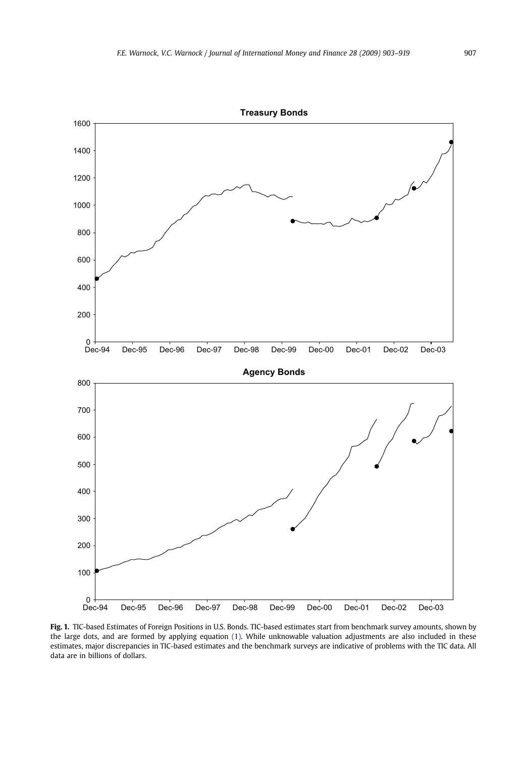<span id="page-4-0"></span>

Fig. 1. TIC-based Estimates of Foreign Positions in U.S. Bonds. TIC-based estimates start from benchmark survey amounts, shown by the large dots, and are formed by applying equation [\(1\).](#page-5-0) While unknowable valuation adjustments are also included in these estimates, major discrepancies in TIC-based estimates and the benchmark surveys are indicative of problems with the TIC data. All data are in billions of dollars.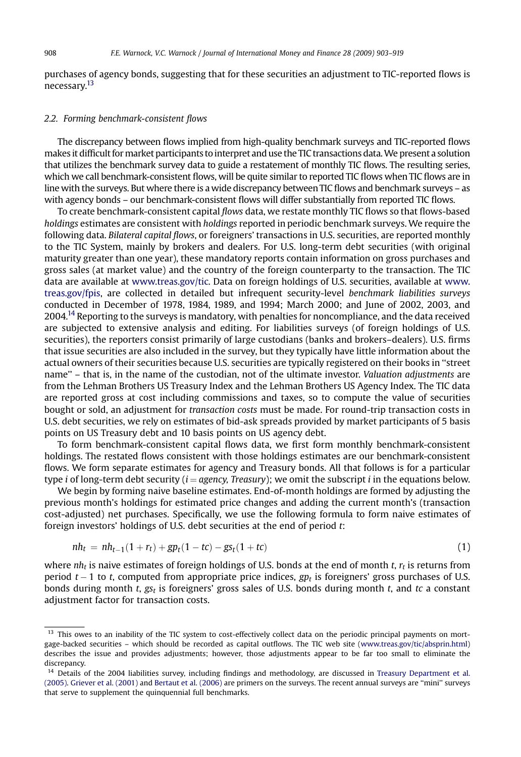<span id="page-5-0"></span>purchases of agency bonds, suggesting that for these securities an adjustment to TIC-reported flows is necessary.<sup>13</sup>

#### 2.2. Forming benchmark-consistent flows

The discrepancy between flows implied from high-quality benchmark surveys and TIC-reported flows makes it difficult for market participants to interpret and use the TIC transactions data. We present a solution that utilizes the benchmark survey data to guide a restatement of monthly TIC flows. The resulting series, which we call benchmark-consistent flows, will be quite similar to reported TIC flows when TIC flows are in line with the surveys. But where there is a wide discrepancy between TIC flows and benchmark surveys – as with agency bonds – our benchmark-consistent flows will differ substantially from reported TIC flows.

To create benchmark-consistent capital flows data, we restate monthly TIC flows so that flows-based holdings estimates are consistent with holdings reported in periodic benchmark surveys. We require the following data. Bilateral capital flows, or foreigners' transactions in U.S. securities, are reported monthly to the TIC System, mainly by brokers and dealers. For U.S. long-term debt securities (with original maturity greater than one year), these mandatory reports contain information on gross purchases and gross sales (at market value) and the country of the foreign counterparty to the transaction. The TIC data are available at [www.treas.gov/tic](http://www.treas.gov/tic). Data on foreign holdings of U.S. securities, available at [www.](http://www.treas.gov/fpis) [treas.gov/fpis](http://www.treas.gov/fpis), are collected in detailed but infrequent security-level benchmark liabilities surveys conducted in December of 1978, 1984, 1989, and 1994; March 2000; and June of 2002, 2003, and 2004.<sup>14</sup> Reporting to the surveys is mandatory, with penalties for noncompliance, and the data received are subjected to extensive analysis and editing. For liabilities surveys (of foreign holdings of U.S. securities), the reporters consist primarily of large custodians (banks and brokers–dealers). U.S. firms that issue securities are also included in the survey, but they typically have little information about the actual owners of their securities because U.S. securities are typically registered on their books in ''street name'' – that is, in the name of the custodian, not of the ultimate investor. Valuation adjustments are from the Lehman Brothers US Treasury Index and the Lehman Brothers US Agency Index. The TIC data are reported gross at cost including commissions and taxes, so to compute the value of securities bought or sold, an adjustment for transaction costs must be made. For round-trip transaction costs in U.S. debt securities, we rely on estimates of bid-ask spreads provided by market participants of 5 basis points on US Treasury debt and 10 basis points on US agency debt.

To form benchmark-consistent capital flows data, we first form monthly benchmark-consistent holdings. The restated flows consistent with those holdings estimates are our benchmark-consistent flows. We form separate estimates for agency and Treasury bonds. All that follows is for a particular type *i* of long-term debt security  $(i = agency, Treasury)$ ; we omit the subscript *i* in the equations below.

We begin by forming naive baseline estimates. End-of-month holdings are formed by adjusting the previous month's holdings for estimated price changes and adding the current month's (transaction cost-adjusted) net purchases. Specifically, we use the following formula to form naive estimates of foreign investors' holdings of U.S. debt securities at the end of period t:

$$
nh_t = nh_{t-1}(1 + r_t) + gp_t(1 - tc) - gs_t(1 + tc)
$$
\n(1)

where  $nh_t$  is naive estimates of foreign holdings of U.S. bonds at the end of month t,  $r_t$  is returns from period  $t-1$  to t, computed from appropriate price indices,  $gp_t$  is foreigners' gross purchases of U.S. bonds during month t,  $gs_t$  is foreigners' gross sales of U.S. bonds during month t, and tc a constant adjustment factor for transaction costs.

<sup>&</sup>lt;sup>13</sup> This owes to an inability of the TIC system to cost-effectively collect data on the periodic principal payments on mortgage-backed securities – which should be recorded as capital outflows. The TIC web site [\(www.treas.gov/tic/absprin.html\)](http://www.treas.gov/tic/absprin.html) describes the issue and provides adjustments; however, those adjustments appear to be far too small to eliminate the discrepancy.

<sup>&</sup>lt;sup>14</sup> Details of the 2004 liabilities survey, including findings and methodology, are discussed in [Treasury Department et al.](#page-16-0) [\(2005\)](#page-16-0). [Griever et al. \(2001\)](#page-16-0) and [Bertaut et al. \(2006\)](#page-16-0) are primers on the surveys. The recent annual surveys are ''mini'' surveys that serve to supplement the quinquennial full benchmarks.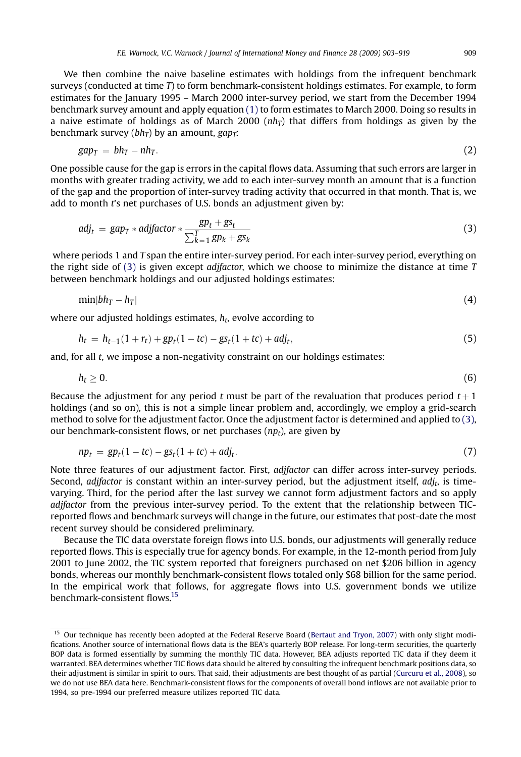<span id="page-6-0"></span>We then combine the naive baseline estimates with holdings from the infrequent benchmark surveys (conducted at time T) to form benchmark-consistent holdings estimates. For example, to form estimates for the January 1995 – March 2000 inter-survey period, we start from the December 1994 benchmark survey amount and apply equation [\(1\)](#page-5-0) to form estimates to March 2000. Doing so results in a naive estimate of holdings as of March 2000 ( $nh<sub>T</sub>$ ) that differs from holdings as given by the benchmark survey ( $bh_T$ ) by an amount, gap $_T$ :

$$
gap_T = bh_T - nh_T. \tag{2}
$$

One possible cause for the gap is errors in the capital flows data. Assuming that such errors are larger in months with greater trading activity, we add to each inter-survey month an amount that is a function of the gap and the proportion of inter-survey trading activity that occurred in that month. That is, we add to month t's net purchases of U.S. bonds an adjustment given by:

$$
adj_t = gap_T * adjfactor * \frac{gp_t + gs_t}{\sum_{k=1}^T gp_k + gs_k}
$$
\n(3)

where periods 1 and T span the entire inter-survey period. For each inter-survey period, everything on the right side of (3) is given except *adifactor*, which we choose to minimize the distance at time  $T$ between benchmark holdings and our adjusted holdings estimates:

$$
\min\vert bh_T - h_T\vert \tag{4}
$$

where our adjusted holdings estimates,  $h_t$ , evolve according to

$$
h_t = h_{t-1}(1 + r_t) + gp_t(1 - t_c) - gs_t(1 + t_c) + adj_t,
$$
\n(5)

and, for all t, we impose a non-negativity constraint on our holdings estimates:

$$
h_t \geq 0. \tag{6}
$$

Because the adjustment for any period t must be part of the revaluation that produces period  $t + 1$ holdings (and so on), this is not a simple linear problem and, accordingly, we employ a grid-search method to solve for the adjustment factor. Once the adjustment factor is determined and applied to (3), our benchmark-consistent flows, or net purchases  $(np_t)$ , are given by

$$
np_t = gp_t(1 - tc) - gs_t(1 + tc) + adj_t.
$$
 (7)

Note three features of our adjustment factor. First, adjfactor can differ across inter-survey periods. Second, *adifactor* is constant within an inter-survey period, but the adjustment itself, *adj<sub>t</sub>*, is timevarying. Third, for the period after the last survey we cannot form adjustment factors and so apply adjfactor from the previous inter-survey period. To the extent that the relationship between TICreported flows and benchmark surveys will change in the future, our estimates that post-date the most recent survey should be considered preliminary.

Because the TIC data overstate foreign flows into U.S. bonds, our adjustments will generally reduce reported flows. This is especially true for agency bonds. For example, in the 12-month period from July 2001 to June 2002, the TIC system reported that foreigners purchased on net \$206 billion in agency bonds, whereas our monthly benchmark-consistent flows totaled only \$68 billion for the same period. In the empirical work that follows, for aggregate flows into U.S. government bonds we utilize benchmark-consistent flows.15

<sup>&</sup>lt;sup>15</sup> Our technique has recently been adopted at the Federal Reserve Board [\(Bertaut and Tryon, 2007](#page-16-0)) with only slight modifications. Another source of international flows data is the BEA's quarterly BOP release. For long-term securities, the quarterly BOP data is formed essentially by summing the monthly TIC data. However, BEA adjusts reported TIC data if they deem it warranted. BEA determines whether TIC flows data should be altered by consulting the infrequent benchmark positions data, so their adjustment is similar in spirit to ours. That said, their adjustments are best thought of as partial ([Curcuru et al., 2008](#page-16-0)), so we do not use BEA data here. Benchmark-consistent flows for the components of overall bond inflows are not available prior to 1994, so pre-1994 our preferred measure utilizes reported TIC data.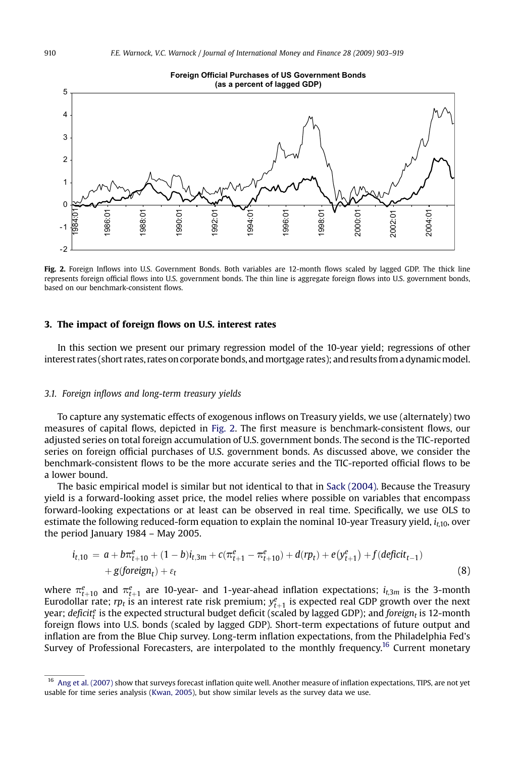<span id="page-7-0"></span>

Fig. 2. Foreign Inflows into U.S. Government Bonds. Both variables are 12-month flows scaled by lagged GDP. The thick line represents foreign official flows into U.S. government bonds. The thin line is aggregate foreign flows into U.S. government bonds, based on our benchmark-consistent flows.

#### 3. The impact of foreign flows on U.S. interest rates

In this section we present our primary regression model of the 10-year yield; regressions of other interest rates (short rates, rates on corporate bonds, and mortgage rates); and results from a dynamic model.

#### 3.1. Foreign inflows and long-term treasury yields

To capture any systematic effects of exogenous inflows on Treasury yields, we use (alternately) two measures of capital flows, depicted in Fig. 2. The first measure is benchmark-consistent flows, our adjusted series on total foreign accumulation of U.S. government bonds. The second is the TIC-reported series on foreign official purchases of U.S. government bonds. As discussed above, we consider the benchmark-consistent flows to be the more accurate series and the TIC-reported official flows to be a lower bound.

The basic empirical model is similar but not identical to that in [Sack \(2004\)](#page-16-0). Because the Treasury yield is a forward-looking asset price, the model relies where possible on variables that encompass forward-looking expectations or at least can be observed in real time. Specifically, we use OLS to estimate the following reduced-form equation to explain the nominal 10-year Treasury yield,  $i_{t,10}$ , over the period January 1984 – May 2005.

$$
i_{t,10} = a + b\pi_{t+10}^{e} + (1-b)i_{t,3m} + c(\pi_{t+1}^{e} - \pi_{t+10}^{e}) + d(rp_{t}) + e(y_{t+1}^{e}) + f(deficit_{t-1})
$$
  
+  $g(foreign_{t}) + \varepsilon_{t}$  (8)

where  $\pi_{t+10}^e$  and  $\pi_{t+1}^e$  are 10-year- and 1-year-ahead inflation expectations;  $i_{t,3m}$  is the 3-month Eurodollar rate;  $rp_t$  is an interest rate risk premium;  $y_{t+1}^e$  is expected real GDP growth over the next year; deficit $^e_t$  is the expected structural budget deficit (scaled by lagged GDP); and foreign<sub>t</sub> is 12-month foreign flows into U.S. bonds (scaled by lagged GDP). Short-term expectations of future output and inflation are from the Blue Chip survey. Long-term inflation expectations, from the Philadelphia Fed's Survey of Professional Forecasters, are interpolated to the monthly frequency.<sup>16</sup> Current monetary

<sup>&</sup>lt;sup>16</sup> [Ang et al. \(2007\)](#page-16-0) show that surveys forecast inflation quite well. Another measure of inflation expectations, TIPS, are not yet usable for time series analysis [\(Kwan, 2005\)](#page-16-0), but show similar levels as the survey data we use.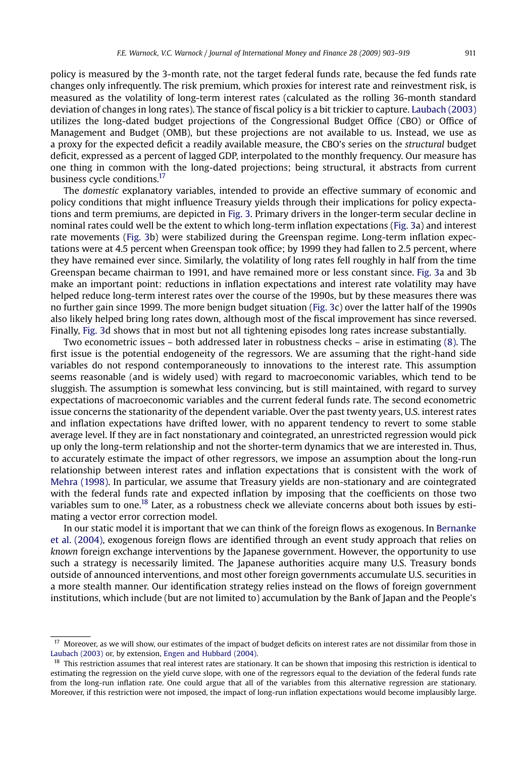policy is measured by the 3-month rate, not the target federal funds rate, because the fed funds rate changes only infrequently. The risk premium, which proxies for interest rate and reinvestment risk, is measured as the volatility of long-term interest rates (calculated as the rolling 36-month standard deviation of changes in long rates). The stance of fiscal policy is a bit trickier to capture. [Laubach \(2003\)](#page-16-0) utilizes the long-dated budget projections of the Congressional Budget Office (CBO) or Office of Management and Budget (OMB), but these projections are not available to us. Instead, we use as a proxy for the expected deficit a readily available measure, the CBO's series on the structural budget deficit, expressed as a percent of lagged GDP, interpolated to the monthly frequency. Our measure has one thing in common with the long-dated projections; being structural, it abstracts from current business cycle conditions.<sup>17</sup>

The domestic explanatory variables, intended to provide an effective summary of economic and policy conditions that might influence Treasury yields through their implications for policy expectations and term premiums, are depicted in [Fig. 3.](#page-9-0) Primary drivers in the longer-term secular decline in nominal rates could well be the extent to which long-term inflation expectations ([Fig. 3](#page-9-0)a) and interest rate movements ([Fig. 3](#page-9-0)b) were stabilized during the Greenspan regime. Long-term inflation expectations were at 4.5 percent when Greenspan took office; by 1999 they had fallen to 2.5 percent, where they have remained ever since. Similarly, the volatility of long rates fell roughly in half from the time Greenspan became chairman to 1991, and have remained more or less constant since. [Fig. 3a](#page-9-0) and 3b make an important point: reductions in inflation expectations and interest rate volatility may have helped reduce long-term interest rates over the course of the 1990s, but by these measures there was no further gain since 1999. The more benign budget situation ([Fig. 3c](#page-9-0)) over the latter half of the 1990s also likely helped bring long rates down, although most of the fiscal improvement has since reversed. Finally, [Fig. 3d](#page-9-0) shows that in most but not all tightening episodes long rates increase substantially.

Two econometric issues – both addressed later in robustness checks – arise in estimating [\(8\).](#page-7-0) The first issue is the potential endogeneity of the regressors. We are assuming that the right-hand side variables do not respond contemporaneously to innovations to the interest rate. This assumption seems reasonable (and is widely used) with regard to macroeconomic variables, which tend to be sluggish. The assumption is somewhat less convincing, but is still maintained, with regard to survey expectations of macroeconomic variables and the current federal funds rate. The second econometric issue concerns the stationarity of the dependent variable. Over the past twenty years, U.S. interest rates and inflation expectations have drifted lower, with no apparent tendency to revert to some stable average level. If they are in fact nonstationary and cointegrated, an unrestricted regression would pick up only the long-term relationship and not the shorter-term dynamics that we are interested in. Thus, to accurately estimate the impact of other regressors, we impose an assumption about the long-run relationship between interest rates and inflation expectations that is consistent with the work of [Mehra \(1998\)](#page-16-0). In particular, we assume that Treasury yields are non-stationary and are cointegrated with the federal funds rate and expected inflation by imposing that the coefficients on those two variables sum to one.<sup>18</sup> Later, as a robustness check we alleviate concerns about both issues by estimating a vector error correction model.

In our static model it is important that we can think of the foreign flows as exogenous. In [Bernanke](#page-16-0) [et al. \(2004\)](#page-16-0), exogenous foreign flows are identified through an event study approach that relies on known foreign exchange interventions by the Japanese government. However, the opportunity to use such a strategy is necessarily limited. The Japanese authorities acquire many U.S. Treasury bonds outside of announced interventions, and most other foreign governments accumulate U.S. securities in a more stealth manner. Our identification strategy relies instead on the flows of foreign government institutions, which include (but are not limited to) accumulation by the Bank of Japan and the People's

<sup>&</sup>lt;sup>17</sup> Moreover, as we will show, our estimates of the impact of budget deficits on interest rates are not dissimilar from those in [Laubach \(2003\)](#page-16-0) or, by extension, [Engen and Hubbard \(2004\)](#page-16-0).

<sup>&</sup>lt;sup>18</sup> This restriction assumes that real interest rates are stationary. It can be shown that imposing this restriction is identical to estimating the regression on the yield curve slope, with one of the regressors equal to the deviation of the federal funds rate from the long-run inflation rate. One could argue that all of the variables from this alternative regression are stationary. Moreover, if this restriction were not imposed, the impact of long-run inflation expectations would become implausibly large.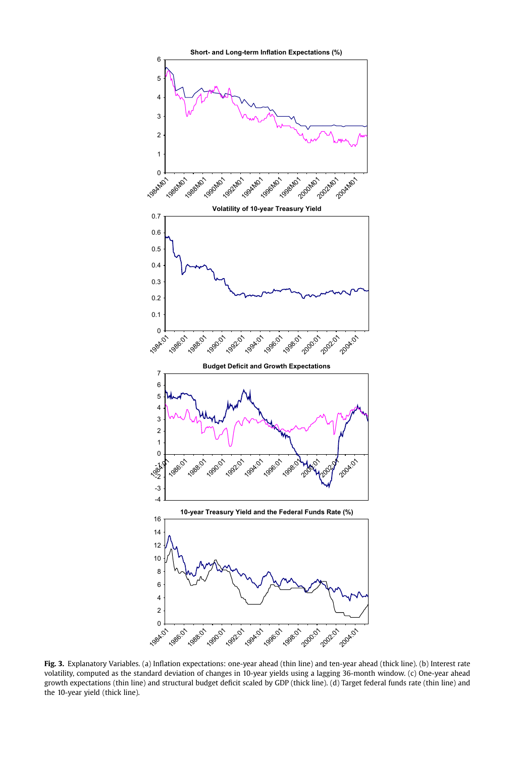<span id="page-9-0"></span>

Fig. 3. Explanatory Variables. (a) Inflation expectations: one-year ahead (thin line) and ten-year ahead (thick line). (b) Interest rate volatility, computed as the standard deviation of changes in 10-year yields using a lagging 36-month window. (c) One-year ahead growth expectations (thin line) and structural budget deficit scaled by GDP (thick line). (d) Target federal funds rate (thin line) and the 10-year yield (thick line).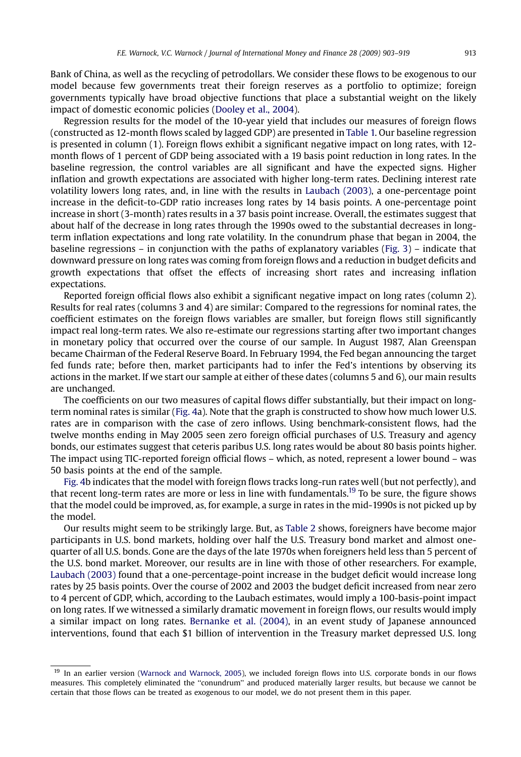Bank of China, as well as the recycling of petrodollars. We consider these flows to be exogenous to our model because few governments treat their foreign reserves as a portfolio to optimize; foreign governments typically have broad objective functions that place a substantial weight on the likely impact of domestic economic policies [\(Dooley et al., 2004](#page-16-0)).

Regression results for the model of the 10-year yield that includes our measures of foreign flows (constructed as 12-month flows scaled by lagged GDP) are presented in [Table 1.](#page-11-0) Our baseline regression is presented in column (1). Foreign flows exhibit a significant negative impact on long rates, with 12 month flows of 1 percent of GDP being associated with a 19 basis point reduction in long rates. In the baseline regression, the control variables are all significant and have the expected signs. Higher inflation and growth expectations are associated with higher long-term rates. Declining interest rate volatility lowers long rates, and, in line with the results in [Laubach \(2003\),](#page-16-0) a one-percentage point increase in the deficit-to-GDP ratio increases long rates by 14 basis points. A one-percentage point increase in short (3-month) rates results in a 37 basis point increase. Overall, the estimates suggest that about half of the decrease in long rates through the 1990s owed to the substantial decreases in longterm inflation expectations and long rate volatility. In the conundrum phase that began in 2004, the baseline regressions – in conjunction with the paths of explanatory variables ([Fig. 3](#page-9-0)) – indicate that downward pressure on long rates was coming from foreign flows and a reduction in budget deficits and growth expectations that offset the effects of increasing short rates and increasing inflation expectations.

Reported foreign official flows also exhibit a significant negative impact on long rates (column 2). Results for real rates (columns 3 and 4) are similar: Compared to the regressions for nominal rates, the coefficient estimates on the foreign flows variables are smaller, but foreign flows still significantly impact real long-term rates. We also re-estimate our regressions starting after two important changes in monetary policy that occurred over the course of our sample. In August 1987, Alan Greenspan became Chairman of the Federal Reserve Board. In February 1994, the Fed began announcing the target fed funds rate; before then, market participants had to infer the Fed's intentions by observing its actions in the market. If we start our sample at either of these dates (columns 5 and 6), our main results are unchanged.

The coefficients on our two measures of capital flows differ substantially, but their impact on longterm nominal rates is similar ([Fig. 4](#page-12-0)a). Note that the graph is constructed to show how much lower U.S. rates are in comparison with the case of zero inflows. Using benchmark-consistent flows, had the twelve months ending in May 2005 seen zero foreign official purchases of U.S. Treasury and agency bonds, our estimates suggest that ceteris paribus U.S. long rates would be about 80 basis points higher. The impact using TIC-reported foreign official flows – which, as noted, represent a lower bound – was 50 basis points at the end of the sample.

[Fig. 4b](#page-12-0) indicates that the model with foreign flows tracks long-run rates well (but not perfectly), and that recent long-term rates are more or less in line with fundamentals.<sup>19</sup> To be sure, the figure shows that the model could be improved, as, for example, a surge in rates in the mid-1990s is not picked up by the model.

Our results might seem to be strikingly large. But, as [Table 2](#page-13-0) shows, foreigners have become major participants in U.S. bond markets, holding over half the U.S. Treasury bond market and almost onequarter of all U.S. bonds. Gone are the days of the late 1970s when foreigners held less than 5 percent of the U.S. bond market. Moreover, our results are in line with those of other researchers. For example, [Laubach \(2003\)](#page-16-0) found that a one-percentage-point increase in the budget deficit would increase long rates by 25 basis points. Over the course of 2002 and 2003 the budget deficit increased from near zero to 4 percent of GDP, which, according to the Laubach estimates, would imply a 100-basis-point impact on long rates. If we witnessed a similarly dramatic movement in foreign flows, our results would imply a similar impact on long rates. [Bernanke et al. \(2004\),](#page-16-0) in an event study of Japanese announced interventions, found that each \$1 billion of intervention in the Treasury market depressed U.S. long

<sup>&</sup>lt;sup>19</sup> In an earlier version [\(Warnock and Warnock, 2005](#page-16-0)), we included foreign flows into U.S. corporate bonds in our flows measures. This completely eliminated the ''conundrum'' and produced materially larger results, but because we cannot be certain that those flows can be treated as exogenous to our model, we do not present them in this paper.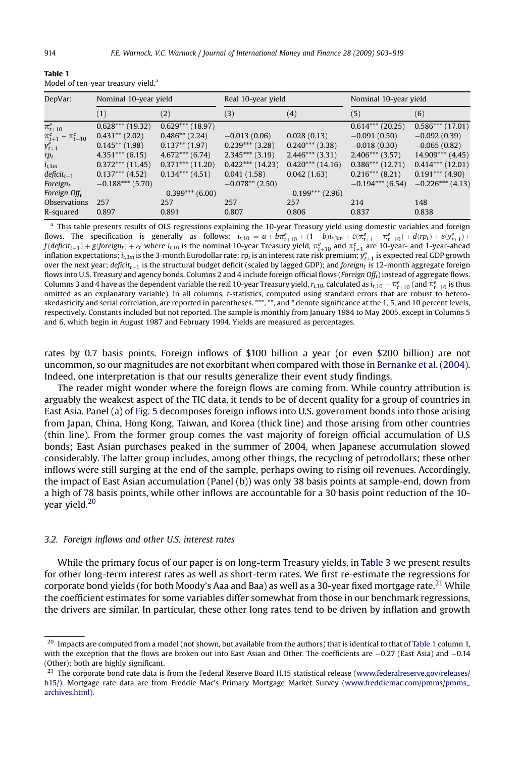| DepVar:                      | Nominal 10-year yield | Real 10-year yield |                    |                    | Nominal 10-year yield |                    |
|------------------------------|-----------------------|--------------------|--------------------|--------------------|-----------------------|--------------------|
|                              | (1)                   | (2)                | (3)                | (4)                | (5)                   | (6)                |
| $\pi^e_{t+10}$               | $0.628***$ (19.32)    | $0.629***$ (18.97) |                    |                    | $0.614***$ (20.25)    | $0.586***$ (17.01) |
| $\pi^e_{t+1} - \pi^e_{t+10}$ | $0.431**$ (2.02)      | $0.486**$ (2.24)   | $-0.013(0.06)$     | 0.028(0.13)        | $-0.091(0.50)$        | $-0.092(0.39)$     |
| $y_{t+1}^e$                  | $0.145**$ (1.98)      | $0.137**$ (1.97)   | $0.239***$ (3.28)  | $0.240***$ (3.38)  | $-0.018(0.30)$        | $-0.065(0.82)$     |
| $rp_t$                       | $4.351***$ (6.15)     | $4.672***$ (6.74)  | $2.345***$ (3.19)  | $2.446***$ (3.31)  | $2.406***$ (3.57)     | $14.909***$ (4.45) |
| $i_{t,3m}$                   | $0.372***$ (11.45)    | $0.371***$ (11.20) | $0.422***$ (14.23) | $0.420***$ (14.16) | $0.386***$ (12.71)    | $0.414***$ (12.01) |
| $deficit_{t-1}$              | $0.137***$ (4.52)     | $0.134***$ (4.51)  | 0.041(1.58)        | 0.042(1.63)        | $0.216***$ (8.21)     | $0.191***$ (4.90)  |
| Foreign <sub>r</sub>         | $-0.188***$ (5.70)    |                    | $-0.078**$ (2.50)  |                    | $-0.194***$ (6.54)    | $-0.226***$ (4.13) |
| Foreign Off <sub>r</sub>     |                       | $-0.399***$ (6.00) |                    | $-0.199***$ (2.96) |                       |                    |
| <b>Observations</b>          | 257                   | 257                | 257                | 257                | 214                   | 148                |
| R-squared                    | 0.897                 | 0.891              | 0.807              | 0.806              | 0.837                 | 0.838              |

<span id="page-11-0"></span>Table 1 Model of ten-year treasury yield.<sup>a</sup>

a This table presents results of OLS regressions explaining the 10-year Treasury yield using domestic variables and foreign flows. The specification is generally as follows:  $i_{t,10} = a + b\pi_{t+10}^e + (1-b)i_{t,3m} + c(\pi_{t+1}^e - \pi_{t+10}^e) + d(r p_t) + e(y_{t+1}^e) + d(r p_t)$  $f(defit_{t-1}) + g(foreign_t) + \varepsilon_t$  where  $i_{t,10}$  is the nominal 10-year Treasury yield,  $\pi^e_{t+10}$  and  $\pi^e_{t+1}$  are 10-year- and 1-year-ahead inflation expectations;  $i_{\rm t,2m}$  is the 3-month Eurodollar rate; rp<sub>t</sub> is an interest rate risk premium;  $y^e_{t+1}$  is expected real GDP growth over the next year;  $\mathit{deficit}_{t-1}$  is the structural budget deficit (scaled by lagged GDP); and  $\mathit{foreign}_t$  is 12-month aggregate foreign flows into U.S. Treasury and agency bonds. Columns 2 and 4 include foreign official flows (Foreign Offt) instead of aggregate flows. Columns 3 and 4 have as the dependent variable the real 10-year Treasury yield,  $r_{t,10}$ , calculated as  $i_{t,10}-\pi^e_{t+10}$  (and  $\pi^e_{t+10}$  is thus omitted as an explanatory variable). In all columns, t-statistics, computed using standard errors that are robust to heteroskedasticity and serial correlation, are reported in parentheses. \*\*\*, \*\*, and \* denote significance at the 1, 5, and 10 percent levels, respectively. Constants included but not reported. The sample is monthly from January 1984 to May 2005, except in Columns 5 and 6, which begin in August 1987 and February 1994. Yields are measured as percentages.

rates by 0.7 basis points. Foreign inflows of \$100 billion a year (or even \$200 billion) are not uncommon, so our magnitudes are not exorbitant when compared with those in [Bernanke et al. \(2004\).](#page-16-0) Indeed, one interpretation is that our results generalize their event study findings.

The reader might wonder where the foreign flows are coming from. While country attribution is arguably the weakest aspect of the TIC data, it tends to be of decent quality for a group of countries in East Asia. Panel (a) of [Fig. 5](#page-14-0) decomposes foreign inflows into U.S. government bonds into those arising from Japan, China, Hong Kong, Taiwan, and Korea (thick line) and those arising from other countries (thin line). From the former group comes the vast majority of foreign official accumulation of U.S bonds; East Asian purchases peaked in the summer of 2004, when Japanese accumulation slowed considerably. The latter group includes, among other things, the recycling of petrodollars; these other inflows were still surging at the end of the sample, perhaps owing to rising oil revenues. Accordingly, the impact of East Asian accumulation (Panel (b)) was only 38 basis points at sample-end, down from a high of 78 basis points, while other inflows are accountable for a 30 basis point reduction of the 10 year yield.<sup>20</sup>

#### 3.2. Foreign inflows and other U.S. interest rates

While the primary focus of our paper is on long-term Treasury yields, in [Table 3](#page-15-0) we present results for other long-term interest rates as well as short-term rates. We first re-estimate the regressions for corporate bond yields (for both Moody's Aaa and Baa) as well as a 30-year fixed mortgage rate.<sup>21</sup> While the coefficient estimates for some variables differ somewhat from those in our benchmark regressions, the drivers are similar. In particular, these other long rates tend to be driven by inflation and growth

 $20$  Impacts are computed from a model (not shown, but available from the authors) that is identical to that of Table 1 column 1, with the exception that the flows are broken out into East Asian and Other. The coefficients are  $-0.27$  (East Asia) and  $-0.14$ (Other); both are highly significant.

 $21$  The corporate bond rate data is from the Federal Reserve Board H.15 statistical release [\(www.federalreserve.gov/releases/](http://www.federalreserve.gov/releases/h15) [h15/](http://www.federalreserve.gov/releases/h15)). Mortgage rate data are from Freddie Mac's Primary Mortgage Market Survey ([www.freddiemac.com/pmms/pmms\\_](http://www.freddiemac.com/pmms/pmms_archives.html) [archives.html\)](http://www.freddiemac.com/pmms/pmms_archives.html).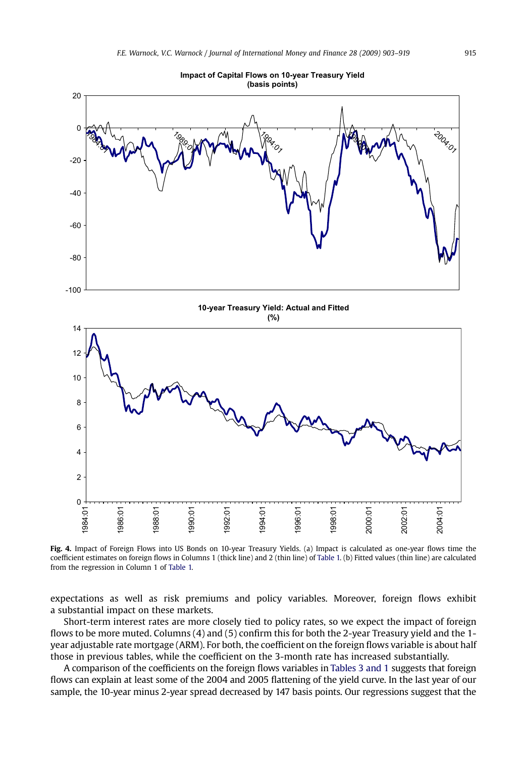<span id="page-12-0"></span>

Fig. 4. Impact of Foreign Flows into US Bonds on 10-year Treasury Yields. (a) Impact is calculated as one-year flows time the coefficient estimates on foreign flows in Columns 1 (thick line) and 2 (thin line) of [Table 1.](#page-11-0) (b) Fitted values (thin line) are calculated from the regression in Column 1 of [Table 1.](#page-11-0)

expectations as well as risk premiums and policy variables. Moreover, foreign flows exhibit a substantial impact on these markets.

Short-term interest rates are more closely tied to policy rates, so we expect the impact of foreign flows to be more muted. Columns (4) and (5) confirm this for both the 2-year Treasury yield and the 1 year adjustable rate mortgage (ARM). For both, the coefficient on the foreign flows variable is about half those in previous tables, while the coefficient on the 3-month rate has increased substantially.

A comparison of the coefficients on the foreign flows variables in [Tables 3 and 1](#page-15-0) suggests that foreign flows can explain at least some of the 2004 and 2005 flattening of the yield curve. In the last year of our sample, the 10-year minus 2-year spread decreased by 147 basis points. Our regressions suggest that the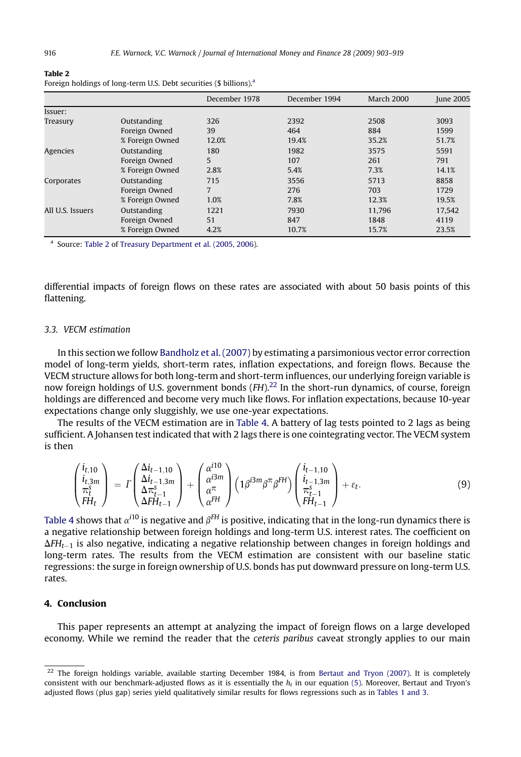| $101$ $\mu$ $101$ $\mu$ $101$ $\mu$ $101$ $\mu$ $101$ $\mu$ $101$ $\mu$ $101$ |                 |               |               |            |                  |
|-------------------------------------------------------------------------------|-----------------|---------------|---------------|------------|------------------|
|                                                                               |                 | December 1978 | December 1994 | March 2000 | <b>June 2005</b> |
| Issuer:                                                                       |                 |               |               |            |                  |
| Treasury                                                                      | Outstanding     | 326           | 2392          | 2508       | 3093             |
|                                                                               | Foreign Owned   | 39            | 464           | 884        | 1599             |
|                                                                               | % Foreign Owned | 12.0%         | 19.4%         | 35.2%      | 51.7%            |
| Agencies                                                                      | Outstanding     | 180           | 1982          | 3575       | 5591             |
|                                                                               | Foreign Owned   | 5             | 107           | 261        | 791              |
|                                                                               | % Foreign Owned | 2.8%          | 5.4%          | 7.3%       | 14.1%            |
| Corporates                                                                    | Outstanding     | 715           | 3556          | 5713       | 8858             |
|                                                                               | Foreign Owned   | 7             | 276           | 703        | 1729             |
|                                                                               | % Foreign Owned | 1.0%          | 7.8%          | 12.3%      | 19.5%            |
| All U.S. Issuers                                                              | Outstanding     | 1221          | 7930          | 11.796     | 17.542           |
|                                                                               | Foreign Owned   | 51            | 847           | 1848       | 4119             |
|                                                                               | % Foreign Owned | 4.2%          | 10.7%         | 15.7%      | 23.5%            |

Foreign holdings of long-term U.S. Debt securities (\$ billions)<sup>a</sup>

<sup>a</sup> Source: Table 2 of [Treasury Department et al. \(2005, 2006\)](#page-16-0).

differential impacts of foreign flows on these rates are associated with about 50 basis points of this flattening.

## 3.3. VECM estimation

In this section we follow [Bandholz et al. \(2007\)](#page-16-0) by estimating a parsimonious vector error correction model of long-term yields, short-term rates, inflation expectations, and foreign flows. Because the VECM structure allows for both long-term and short-term influences, our underlying foreign variable is now foreign holdings of U.S. government bonds  $(FH)$ <sup>22</sup> In the short-run dynamics, of course, foreign holdings are differenced and become very much like flows. For inflation expectations, because 10-year expectations change only sluggishly, we use one-year expectations.

The results of the VECM estimation are in [Table 4.](#page-15-0) A battery of lag tests pointed to 2 lags as being sufficient. A Johansen test indicated that with 2 lags there is one cointegrating vector. The VECM system is then

$$
\begin{pmatrix} i_{t,10} \\ i_{t,3m} \\ \pi_t^{\epsilon} \\ H_t \end{pmatrix} = \Gamma \begin{pmatrix} \Delta i_{t-1,10} \\ \Delta i_{t-1,3m} \\ \Delta \pi_{t-1}^{\epsilon} \\ \Delta F H_{t-1} \end{pmatrix} + \begin{pmatrix} \alpha^{i10} \\ \alpha^{i3m} \\ \alpha^{\pi} \\ \alpha^{FH} \end{pmatrix} \left( 1 \beta^{i3m} \beta^{\pi} \beta^{FH} \right) \begin{pmatrix} i_{t-1,10} \\ i_{t-1,3m} \\ \pi_{t-1}^{\epsilon} \\ F H_{t-1} \end{pmatrix} + \varepsilon_t.
$$
 (9)

[Table 4](#page-15-0) shows that  $\alpha^{i10}$  is negative and  $\beta^{FH}$  is positive, indicating that in the long-run dynamics there is a negative relationship between foreign holdings and long-term U.S. interest rates. The coefficient on  $\Delta FH_{t-1}$  is also negative, indicating a negative relationship between changes in foreign holdings and long-term rates. The results from the VECM estimation are consistent with our baseline static regressions: the surge in foreign ownership of U.S. bonds has put downward pressure on long-term U.S. rates.

# 4. Conclusion

This paper represents an attempt at analyzing the impact of foreign flows on a large developed economy. While we remind the reader that the *ceteris paribus* caveat strongly applies to our main

<span id="page-13-0"></span>Table 2

 $22$  The foreign holdings variable, available starting December 1984, is from [Bertaut and Tryon \(2007\).](#page-16-0) It is completely consistent with our benchmark-adjusted flows as it is essentially the  $h_t$  in our equation [\(5\)](#page-6-0). Moreover, Bertaut and Tryon's adjusted flows (plus gap) series yield qualitatively similar results for flows regressions such as in [Tables 1 and 3](#page-11-0).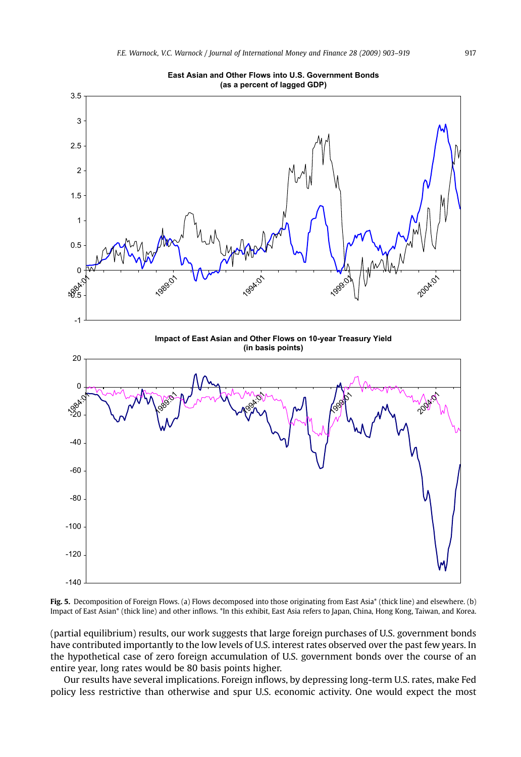<span id="page-14-0"></span>

**East Asian and Other Flows into U.S. Government Bonds**

Fig. 5. Decomposition of Foreign Flows. (a) Flows decomposed into those originating from East Asia\* (thick line) and elsewhere. (b) Impact of East Asian\* (thick line) and other inflows. \*In this exhibit, East Asia refers to Japan, China, Hong Kong, Taiwan, and Korea.

(partial equilibrium) results, our work suggests that large foreign purchases of U.S. government bonds have contributed importantly to the low levels of U.S. interest rates observed over the past few years. In the hypothetical case of zero foreign accumulation of U.S. government bonds over the course of an entire year, long rates would be 80 basis points higher.

Our results have several implications. Foreign inflows, by depressing long-term U.S. rates, make Fed policy less restrictive than otherwise and spur U.S. economic activity. One would expect the most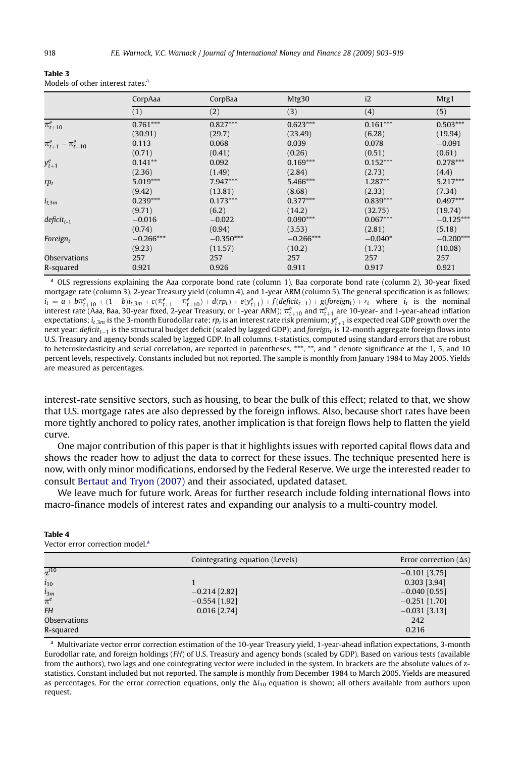|                            | CorpAaa     | CorpBaa     | Mtg30       | i2         | Mtg1        |
|----------------------------|-------------|-------------|-------------|------------|-------------|
|                            | (1)         | (2)         | (3)         | (4)        | (5)         |
| $\pi^e_{t+10}$             | $0.761***$  | $0.827***$  | $0.623***$  | $0.161***$ | $0.503***$  |
|                            | (30.91)     | (29.7)      | (23.49)     | (6.28)     | (19.94)     |
| $\pi^e_{t+1}-\pi^e_{t+10}$ | 0.113       | 0.068       | 0.039       | 0.078      | $-0.091$    |
|                            | (0.71)      | (0.41)      | (0.26)      | (0.51)     | (0.61)      |
| $y_{t+1}^e$                | $0.141**$   | 0.092       | $0.169***$  | $0.152***$ | $0.278***$  |
|                            | (2.36)      | (1.49)      | (2.84)      | (2.73)     | (4.4)       |
| $rp_t$                     | $5.019***$  | $7.947***$  | 5.466***    | $1.287**$  | $5.217***$  |
|                            | (9.42)      | (13.81)     | (8.68)      | (2.33)     | (7.34)      |
| $i_{t,3m}$                 | $0.239***$  | $0.173***$  | $0.377***$  | $0.839***$ | $0.497***$  |
|                            | (9.71)      | (6.2)       | (14.2)      | (32.75)    | (19.74)     |
| $deficit_{t-1}$            | $-0.016$    | $-0.022$    | $0.090***$  | $0.067***$ | $-0.125***$ |
|                            | (0.74)      | (0.94)      | (3.53)      | (2.81)     | (5.18)      |
| Foreign <sub>t</sub>       | $-0.266***$ | $-0.350***$ | $-0.266***$ | $-0.040*$  | $-0.200***$ |
|                            | (9.23)      | (11.57)     | (10.2)      | (1.73)     | (10.08)     |
| Observations               | 257         | 257         | 257         | 257        | 257         |
| R-squared                  | 0.921       | 0.926       | 0.911       | 0.917      | 0.921       |

<span id="page-15-0"></span>Table 3 Models of other interest rates.<sup>a</sup>

<sup>a</sup> OLS regressions explaining the Aaa corporate bond rate (column 1), Baa corporate bond rate (column 2), 30-year fixed mortgage rate (column 3), 2-year Treasury yield (column 4), and 1-year ARM (column 5). The general specification is as follows:  $i_t = a + b\pi_{t+10}^e + (1-b)i_{t,3m} + c(\pi_{t+1}^e - \pi_{t+10}^e) + d(np_t) + e(y_{t+1}^e) + f(deficit_{t-1}) + g(foreign_t) + \varepsilon_t$  where  $i_t$  is the nominal interest rate (Aaa, Baa, 30-year fixed, 2-year Treasury, or 1-year ARM);  $\pi_{t+10}^e$  and  $\pi_{t+1}^e$  a expectations;  $i_{t,3m}$  is the 3-month Eurodollar rate;  $r p_t$  is an interest rate risk premium;  $y_{t+1}^e$  is expected real GDP growth over the next year; deficit<sub>t–1</sub> is the structural budget deficit (scaled by lagged GDP); and foreign<sub>t</sub> is 12-month aggregate foreign flows into U.S. Treasury and agency bonds scaled by lagged GDP. In all columns, t-statistics, computed using standard errors that are robust to heteroskedasticity and serial correlation, are reported in parentheses. \*\*\*, \*\*, and \* denote significance at the 1, 5, and 10 percent levels, respectively. Constants included but not reported. The sample is monthly from January 1984 to May 2005. Yields are measured as percentages.

interest-rate sensitive sectors, such as housing, to bear the bulk of this effect; related to that, we show that U.S. mortgage rates are also depressed by the foreign inflows. Also, because short rates have been more tightly anchored to policy rates, another implication is that foreign flows help to flatten the yield curve.

One major contribution of this paper is that it highlights issues with reported capital flows data and shows the reader how to adjust the data to correct for these issues. The technique presented here is now, with only minor modifications, endorsed by the Federal Reserve. We urge the interested reader to consult [Bertaut and Tryon \(2007\)](#page-16-0) and their associated, updated dataset.

We leave much for future work. Areas for further research include folding international flows into macro-finance models of interest rates and expanding our analysis to a multi-country model.

#### Table 4

Vector error correction model<sup>?</sup>

|                | Cointegrating equation (Levels) | Error correction $( \Delta s )$ |
|----------------|---------------------------------|---------------------------------|
| $\alpha^{i10}$ |                                 | $-0.101$ [3.75]                 |
| $i_{10}$       |                                 | $0.303$ [3.94]                  |
| $i_{3m}$       | $-0.214$ [2.82]                 | $-0.040$ [0.55]                 |
| $\pi^e$        | $-0.554$ [1.92]                 | $-0.251$ [1.70]                 |
| <b>FH</b>      | $0.016$ [2.74]                  | $-0.031$ [3.13]                 |
| Observations   |                                 | 242                             |
| R-squared      |                                 | 0.216                           |

<sup>a</sup> Multivariate vector error correction estimation of the 10-year Treasury yield, 1-year-ahead inflation expectations, 3-month Eurodollar rate, and foreign holdings (FH) of U.S. Treasury and agency bonds (scaled by GDP). Based on various tests (available from the authors), two lags and one cointegrating vector were included in the system. In brackets are the absolute values of zstatistics. Constant included but not reported. The sample is monthly from December 1984 to March 2005. Yields are measured as percentages. For the error correction equations, only the  $\Delta i_{10}$  equation is shown; all others available from authors upon request.